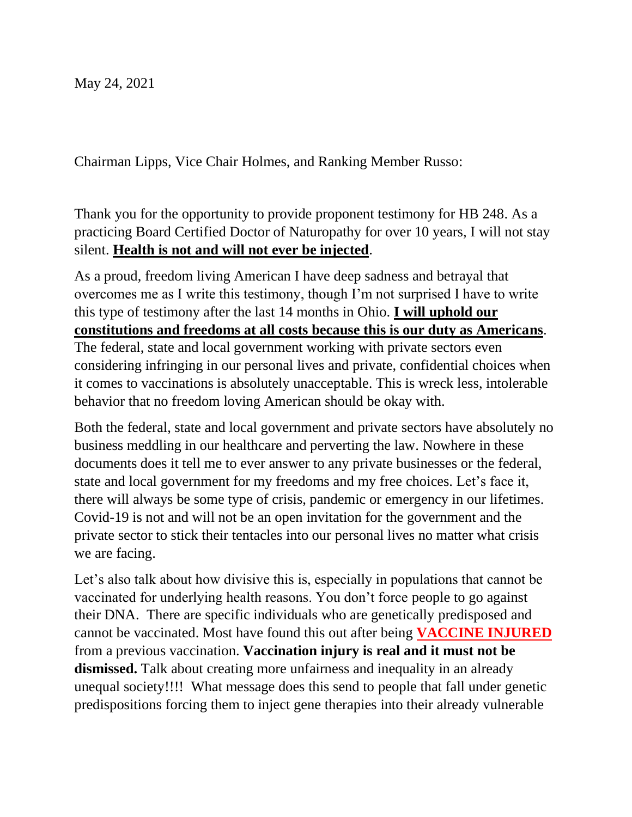Chairman Lipps, Vice Chair Holmes, and Ranking Member Russo:

Thank you for the opportunity to provide proponent testimony for HB 248. As a practicing Board Certified Doctor of Naturopathy for over 10 years, I will not stay silent. **Health is not and will not ever be injected**.

As a proud, freedom living American I have deep sadness and betrayal that overcomes me as I write this testimony, though I'm not surprised I have to write this type of testimony after the last 14 months in Ohio. **I will uphold our constitutions and freedoms at all costs because this is our duty as Americans**. The federal, state and local government working with private sectors even considering infringing in our personal lives and private, confidential choices when it comes to vaccinations is absolutely unacceptable. This is wreck less, intolerable behavior that no freedom loving American should be okay with.

Both the federal, state and local government and private sectors have absolutely no business meddling in our healthcare and perverting the law. Nowhere in these documents does it tell me to ever answer to any private businesses or the federal, state and local government for my freedoms and my free choices. Let's face it, there will always be some type of crisis, pandemic or emergency in our lifetimes. Covid-19 is not and will not be an open invitation for the government and the private sector to stick their tentacles into our personal lives no matter what crisis we are facing.

Let's also talk about how divisive this is, especially in populations that cannot be vaccinated for underlying health reasons. You don't force people to go against their DNA. There are specific individuals who are genetically predisposed and cannot be vaccinated. Most have found this out after being **VACCINE INJURED** from a previous vaccination. **Vaccination injury is real and it must not be dismissed.** Talk about creating more unfairness and inequality in an already unequal society!!!! What message does this send to people that fall under genetic predispositions forcing them to inject gene therapies into their already vulnerable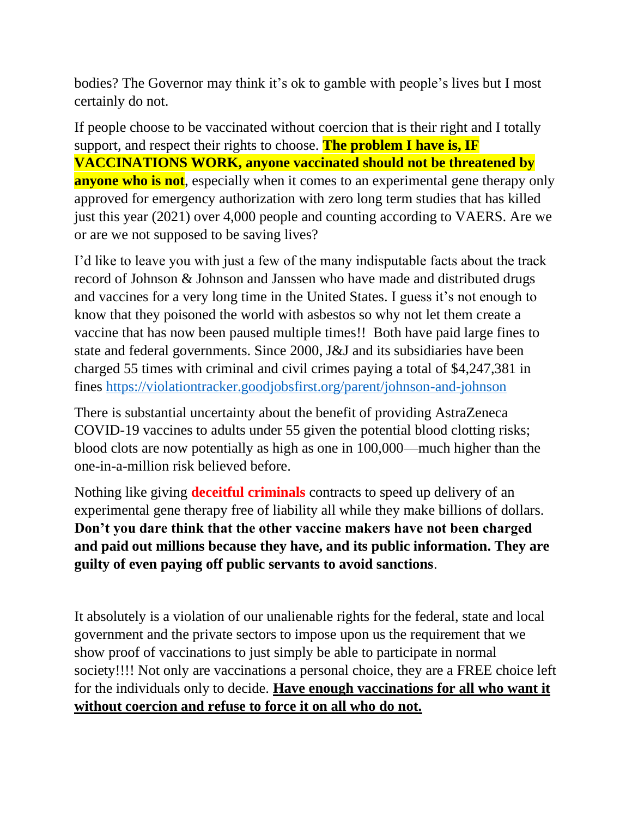bodies? The Governor may think it's ok to gamble with people's lives but I most certainly do not.

If people choose to be vaccinated without coercion that is their right and I totally support, and respect their rights to choose. **The problem I have is, IF VACCINATIONS WORK, anyone vaccinated should not be threatened by anyone who is not**, especially when it comes to an experimental gene therapy only approved for emergency authorization with zero long term studies that has killed just this year (2021) over 4,000 people and counting according to VAERS. Are we or are we not supposed to be saving lives?

I'd like to leave you with just a few of the many indisputable facts about the track record of Johnson & Johnson and Janssen who have made and distributed drugs and vaccines for a very long time in the United States. I guess it's not enough to know that they poisoned the world with asbestos so why not let them create a vaccine that has now been paused multiple times!! Both have paid large fines to state and federal governments. Since 2000, J&J and its subsidiaries have been charged 55 times with criminal and civil crimes paying a total of \$4,247,381 in fines<https://violationtracker.goodjobsfirst.org/parent/johnson-and-johnson>

There is substantial uncertainty about the benefit of providing AstraZeneca COVID-19 vaccines to adults under 55 given the potential blood clotting risks; blood clots are now potentially as high as one in 100,000—much higher than the one-in-a-million risk believed before.

Nothing like giving **deceitful criminals** contracts to speed up delivery of an experimental gene therapy free of liability all while they make billions of dollars. **Don't you dare think that the other vaccine makers have not been charged and paid out millions because they have, and its public information. They are guilty of even paying off public servants to avoid sanctions**.

It absolutely is a violation of our unalienable rights for the federal, state and local government and the private sectors to impose upon us the requirement that we show proof of vaccinations to just simply be able to participate in normal society!!!! Not only are vaccinations a personal choice, they are a FREE choice left for the individuals only to decide. **Have enough vaccinations for all who want it without coercion and refuse to force it on all who do not.**